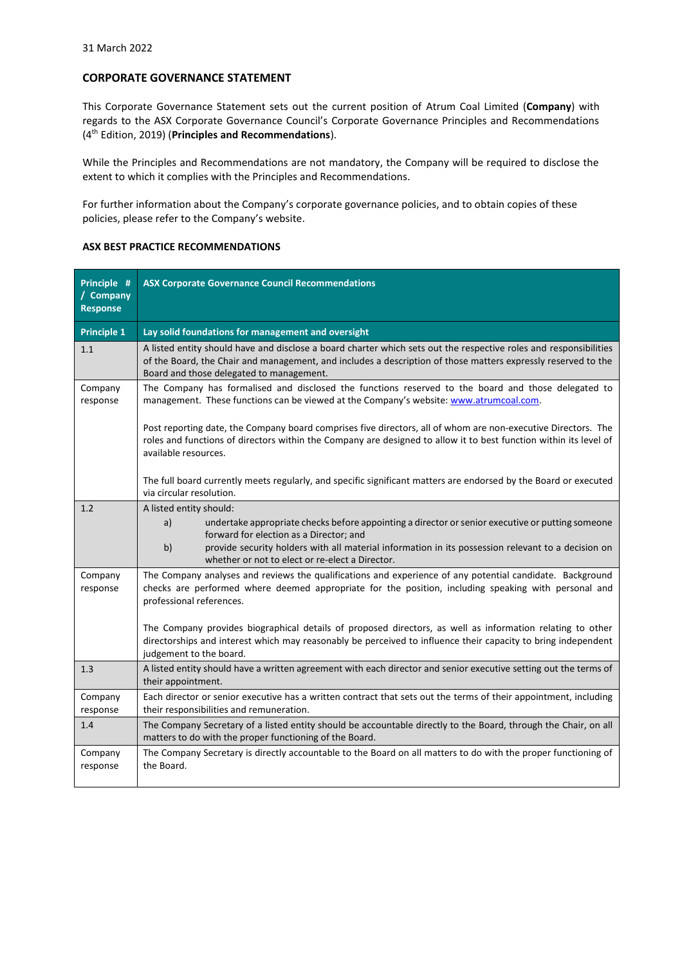## **CORPORATE GOVERNANCE STATEMENT**

This Corporate Governance Statement sets out the current position of Atrum Coal Limited (**Company**) with regards to the ASX Corporate Governance Council's Corporate Governance Principles and Recommendations (4 th Edition, 2019) (**Principles and Recommendations**).

While the Principles and Recommendations are not mandatory, the Company will be required to disclose the extent to which it complies with the Principles and Recommendations.

For further information about the Company's corporate governance policies, and to obtain copies of these policies, please refer to the Company's website.

## **ASX BEST PRACTICE RECOMMENDATIONS**

| Principle #<br>/ Company<br><b>Response</b> | <b>ASX Corporate Governance Council Recommendations</b>                                                                                                                                                                                                                                                                                     |
|---------------------------------------------|---------------------------------------------------------------------------------------------------------------------------------------------------------------------------------------------------------------------------------------------------------------------------------------------------------------------------------------------|
| <b>Principle 1</b>                          | Lay solid foundations for management and oversight                                                                                                                                                                                                                                                                                          |
| 1.1                                         | A listed entity should have and disclose a board charter which sets out the respective roles and responsibilities<br>of the Board, the Chair and management, and includes a description of those matters expressly reserved to the<br>Board and those delegated to management.                                                              |
| Company<br>response                         | The Company has formalised and disclosed the functions reserved to the board and those delegated to<br>management. These functions can be viewed at the Company's website: www.atrumcoal.com.                                                                                                                                               |
|                                             | Post reporting date, the Company board comprises five directors, all of whom are non-executive Directors. The<br>roles and functions of directors within the Company are designed to allow it to best function within its level of<br>available resources.                                                                                  |
|                                             | The full board currently meets regularly, and specific significant matters are endorsed by the Board or executed<br>via circular resolution.                                                                                                                                                                                                |
| 1.2                                         | A listed entity should:<br>a)<br>undertake appropriate checks before appointing a director or senior executive or putting someone<br>forward for election as a Director; and<br>b)<br>provide security holders with all material information in its possession relevant to a decision on<br>whether or not to elect or re-elect a Director. |
| Company<br>response                         | The Company analyses and reviews the qualifications and experience of any potential candidate. Background<br>checks are performed where deemed appropriate for the position, including speaking with personal and<br>professional references.                                                                                               |
|                                             | The Company provides biographical details of proposed directors, as well as information relating to other<br>directorships and interest which may reasonably be perceived to influence their capacity to bring independent<br>judgement to the board.                                                                                       |
| 1.3                                         | A listed entity should have a written agreement with each director and senior executive setting out the terms of<br>their appointment.                                                                                                                                                                                                      |
| Company<br>response                         | Each director or senior executive has a written contract that sets out the terms of their appointment, including<br>their responsibilities and remuneration.                                                                                                                                                                                |
| 1.4                                         | The Company Secretary of a listed entity should be accountable directly to the Board, through the Chair, on all<br>matters to do with the proper functioning of the Board.                                                                                                                                                                  |
| Company<br>response                         | The Company Secretary is directly accountable to the Board on all matters to do with the proper functioning of<br>the Board.                                                                                                                                                                                                                |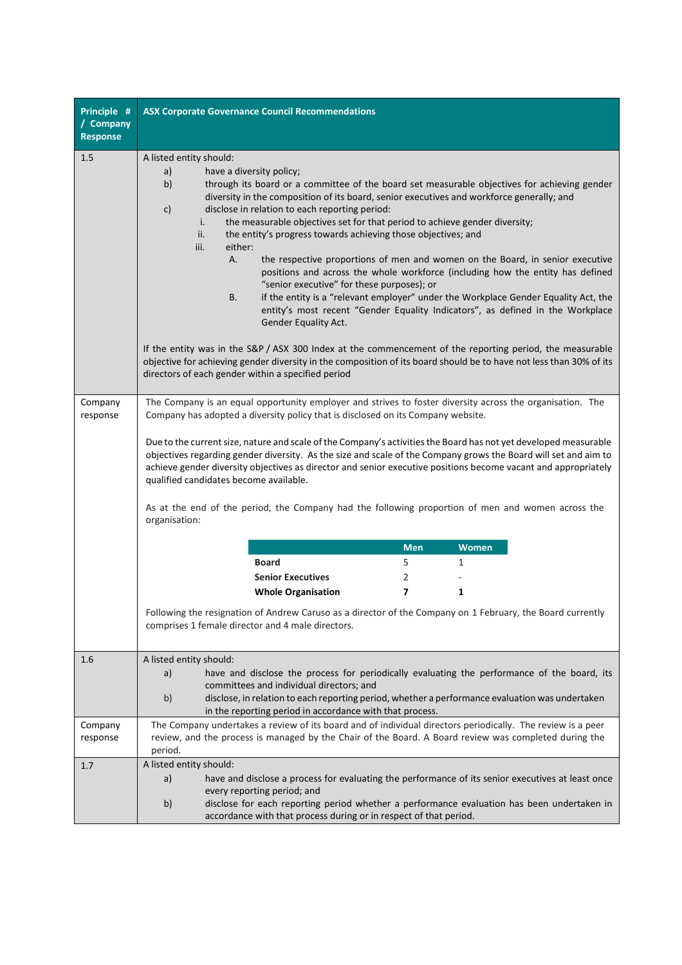| Principle #<br>/ Company<br><b>Response</b> | <b>ASX Corporate Governance Council Recommendations</b>                                                                                                                                                                                                                                                                                                                                                                                                                                                                                                                                                                                                                                                                                                                                                                                                                                                                                                                                                                                                                                                                                                              |
|---------------------------------------------|----------------------------------------------------------------------------------------------------------------------------------------------------------------------------------------------------------------------------------------------------------------------------------------------------------------------------------------------------------------------------------------------------------------------------------------------------------------------------------------------------------------------------------------------------------------------------------------------------------------------------------------------------------------------------------------------------------------------------------------------------------------------------------------------------------------------------------------------------------------------------------------------------------------------------------------------------------------------------------------------------------------------------------------------------------------------------------------------------------------------------------------------------------------------|
| 1.5                                         | A listed entity should:<br>have a diversity policy;<br>a)<br>b)<br>through its board or a committee of the board set measurable objectives for achieving gender<br>diversity in the composition of its board, senior executives and workforce generally; and<br>disclose in relation to each reporting period:<br>c)<br>i.<br>the measurable objectives set for that period to achieve gender diversity;<br>ii.<br>the entity's progress towards achieving those objectives; and<br>iii.<br>either:<br>the respective proportions of men and women on the Board, in senior executive<br>А.<br>positions and across the whole workforce (including how the entity has defined<br>"senior executive" for these purposes); or<br>if the entity is a "relevant employer" under the Workplace Gender Equality Act, the<br>В.<br>entity's most recent "Gender Equality Indicators", as defined in the Workplace<br>Gender Equality Act.<br>If the entity was in the S&P / ASX 300 Index at the commencement of the reporting period, the measurable<br>objective for achieving gender diversity in the composition of its board should be to have not less than 30% of its |
|                                             | directors of each gender within a specified period                                                                                                                                                                                                                                                                                                                                                                                                                                                                                                                                                                                                                                                                                                                                                                                                                                                                                                                                                                                                                                                                                                                   |
| Company<br>response                         | The Company is an equal opportunity employer and strives to foster diversity across the organisation. The<br>Company has adopted a diversity policy that is disclosed on its Company website.<br>Due to the current size, nature and scale of the Company's activities the Board has not yet developed measurable<br>objectives regarding gender diversity. As the size and scale of the Company grows the Board will set and aim to<br>achieve gender diversity objectives as director and senior executive positions become vacant and appropriately<br>qualified candidates become available.<br>As at the end of the period, the Company had the following proportion of men and women across the<br>organisation:                                                                                                                                                                                                                                                                                                                                                                                                                                               |
|                                             | <b>Men</b><br><b>Women</b>                                                                                                                                                                                                                                                                                                                                                                                                                                                                                                                                                                                                                                                                                                                                                                                                                                                                                                                                                                                                                                                                                                                                           |
|                                             | <b>Board</b><br>5<br>1                                                                                                                                                                                                                                                                                                                                                                                                                                                                                                                                                                                                                                                                                                                                                                                                                                                                                                                                                                                                                                                                                                                                               |
|                                             | <b>Senior Executives</b><br>2                                                                                                                                                                                                                                                                                                                                                                                                                                                                                                                                                                                                                                                                                                                                                                                                                                                                                                                                                                                                                                                                                                                                        |
|                                             | $\overline{ }$<br><b>Whole Organisation</b><br>1                                                                                                                                                                                                                                                                                                                                                                                                                                                                                                                                                                                                                                                                                                                                                                                                                                                                                                                                                                                                                                                                                                                     |
|                                             | Following the resignation of Andrew Caruso as a director of the Company on 1 February, the Board currently<br>comprises 1 female director and 4 male directors.                                                                                                                                                                                                                                                                                                                                                                                                                                                                                                                                                                                                                                                                                                                                                                                                                                                                                                                                                                                                      |
| 1.6                                         | A listed entity should:<br>have and disclose the process for periodically evaluating the performance of the board, its<br>a)<br>committees and individual directors: and<br>b)<br>disclose, in relation to each reporting period, whether a performance evaluation was undertaken<br>in the reporting period in accordance with that process.                                                                                                                                                                                                                                                                                                                                                                                                                                                                                                                                                                                                                                                                                                                                                                                                                        |
| Company<br>response                         | The Company undertakes a review of its board and of individual directors periodically. The review is a peer<br>review, and the process is managed by the Chair of the Board. A Board review was completed during the<br>period.                                                                                                                                                                                                                                                                                                                                                                                                                                                                                                                                                                                                                                                                                                                                                                                                                                                                                                                                      |
| 1.7                                         | A listed entity should:<br>have and disclose a process for evaluating the performance of its senior executives at least once<br>a)<br>every reporting period; and<br>disclose for each reporting period whether a performance evaluation has been undertaken in<br>b)<br>accordance with that process during or in respect of that period.                                                                                                                                                                                                                                                                                                                                                                                                                                                                                                                                                                                                                                                                                                                                                                                                                           |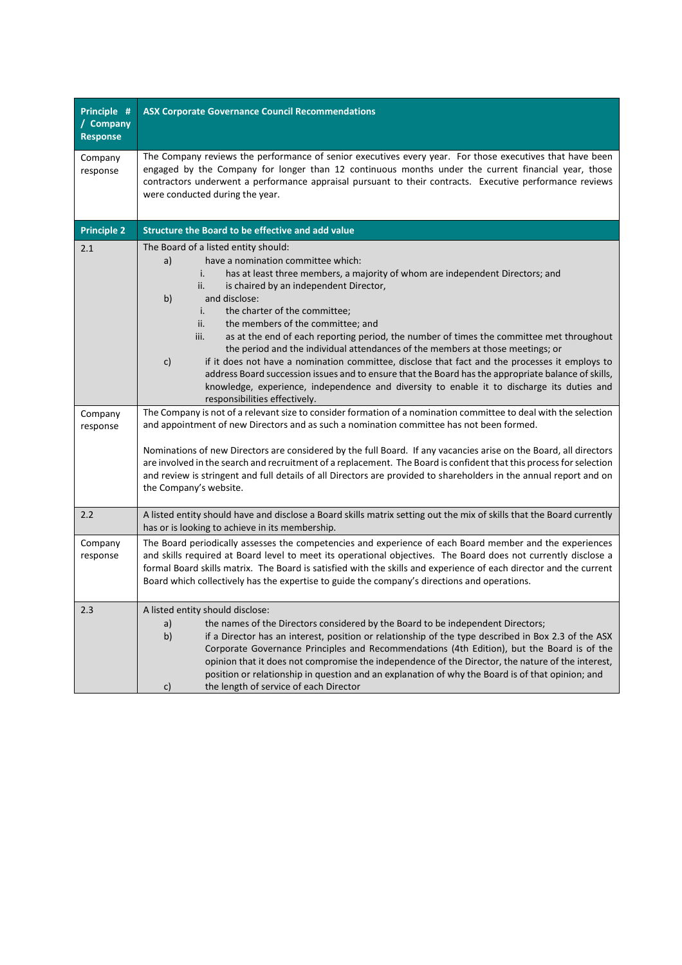| Principle #<br>/ Company<br><b>Response</b> | <b>ASX Corporate Governance Council Recommendations</b>                                                                                                                                                                                                                                                                                                                                                                                                                                                                                                                                                                                                                                                                                                                                                                                                                                                                                                                                                                                                                                          |
|---------------------------------------------|--------------------------------------------------------------------------------------------------------------------------------------------------------------------------------------------------------------------------------------------------------------------------------------------------------------------------------------------------------------------------------------------------------------------------------------------------------------------------------------------------------------------------------------------------------------------------------------------------------------------------------------------------------------------------------------------------------------------------------------------------------------------------------------------------------------------------------------------------------------------------------------------------------------------------------------------------------------------------------------------------------------------------------------------------------------------------------------------------|
| Company<br>response                         | The Company reviews the performance of senior executives every year. For those executives that have been<br>engaged by the Company for longer than 12 continuous months under the current financial year, those<br>contractors underwent a performance appraisal pursuant to their contracts. Executive performance reviews<br>were conducted during the year.                                                                                                                                                                                                                                                                                                                                                                                                                                                                                                                                                                                                                                                                                                                                   |
| <b>Principle 2</b>                          | Structure the Board to be effective and add value                                                                                                                                                                                                                                                                                                                                                                                                                                                                                                                                                                                                                                                                                                                                                                                                                                                                                                                                                                                                                                                |
| 2.1<br>Company<br>response                  | The Board of a listed entity should:<br>have a nomination committee which:<br>a)<br>i.<br>has at least three members, a majority of whom are independent Directors; and<br>ii.<br>is chaired by an independent Director,<br>b)<br>and disclose:<br>i.<br>the charter of the committee;<br>ii.<br>the members of the committee; and<br>iii.<br>as at the end of each reporting period, the number of times the committee met throughout<br>the period and the individual attendances of the members at those meetings; or<br>$\mathsf{c}$<br>if it does not have a nomination committee, disclose that fact and the processes it employs to<br>address Board succession issues and to ensure that the Board has the appropriate balance of skills,<br>knowledge, experience, independence and diversity to enable it to discharge its duties and<br>responsibilities effectively.<br>The Company is not of a relevant size to consider formation of a nomination committee to deal with the selection<br>and appointment of new Directors and as such a nomination committee has not been formed. |
|                                             | Nominations of new Directors are considered by the full Board. If any vacancies arise on the Board, all directors<br>are involved in the search and recruitment of a replacement. The Board is confident that this process for selection<br>and review is stringent and full details of all Directors are provided to shareholders in the annual report and on<br>the Company's website.                                                                                                                                                                                                                                                                                                                                                                                                                                                                                                                                                                                                                                                                                                         |
| 2.2                                         | A listed entity should have and disclose a Board skills matrix setting out the mix of skills that the Board currently<br>has or is looking to achieve in its membership.                                                                                                                                                                                                                                                                                                                                                                                                                                                                                                                                                                                                                                                                                                                                                                                                                                                                                                                         |
| Company<br>response                         | The Board periodically assesses the competencies and experience of each Board member and the experiences<br>and skills required at Board level to meet its operational objectives. The Board does not currently disclose a<br>formal Board skills matrix. The Board is satisfied with the skills and experience of each director and the current<br>Board which collectively has the expertise to guide the company's directions and operations.                                                                                                                                                                                                                                                                                                                                                                                                                                                                                                                                                                                                                                                 |
| 2.3                                         | A listed entity should disclose:<br>a)<br>the names of the Directors considered by the Board to be independent Directors;<br>b)<br>if a Director has an interest, position or relationship of the type described in Box 2.3 of the ASX<br>Corporate Governance Principles and Recommendations (4th Edition), but the Board is of the<br>opinion that it does not compromise the independence of the Director, the nature of the interest,<br>position or relationship in question and an explanation of why the Board is of that opinion; and<br>the length of service of each Director<br>c)                                                                                                                                                                                                                                                                                                                                                                                                                                                                                                    |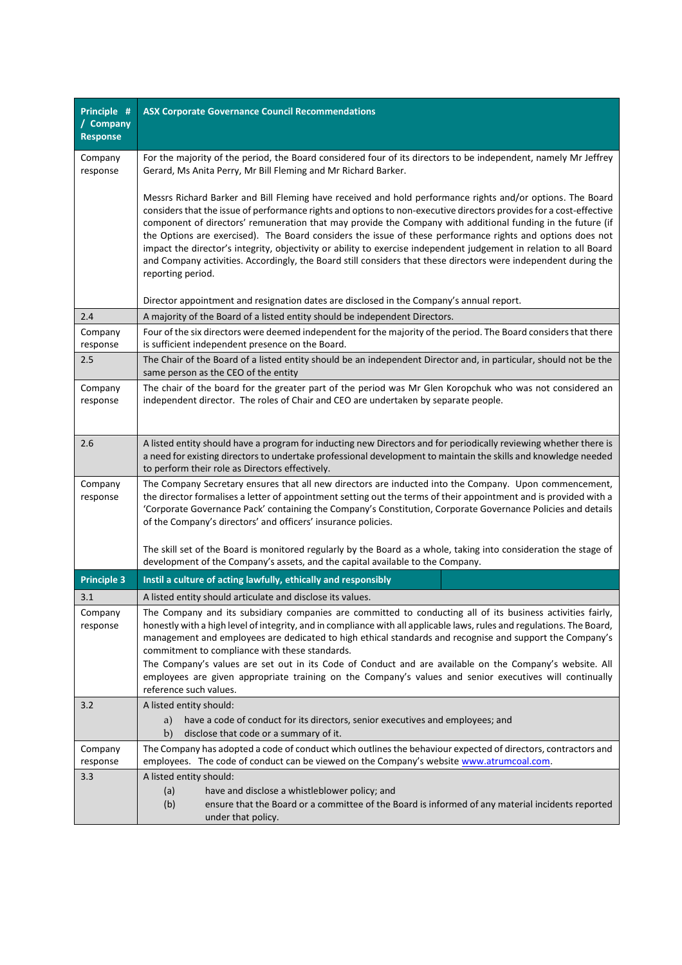| Principle #<br>/ Company<br><b>Response</b> | <b>ASX Corporate Governance Council Recommendations</b>                                                                                                                                                                                                                                                                                                                                                                                                                                                                                                                                                                                                                                                                      |
|---------------------------------------------|------------------------------------------------------------------------------------------------------------------------------------------------------------------------------------------------------------------------------------------------------------------------------------------------------------------------------------------------------------------------------------------------------------------------------------------------------------------------------------------------------------------------------------------------------------------------------------------------------------------------------------------------------------------------------------------------------------------------------|
| Company<br>response                         | For the majority of the period, the Board considered four of its directors to be independent, namely Mr Jeffrey<br>Gerard, Ms Anita Perry, Mr Bill Fleming and Mr Richard Barker.                                                                                                                                                                                                                                                                                                                                                                                                                                                                                                                                            |
|                                             | Messrs Richard Barker and Bill Fleming have received and hold performance rights and/or options. The Board<br>considers that the issue of performance rights and options to non-executive directors provides for a cost-effective<br>component of directors' remuneration that may provide the Company with additional funding in the future (if<br>the Options are exercised). The Board considers the issue of these performance rights and options does not<br>impact the director's integrity, objectivity or ability to exercise independent judgement in relation to all Board<br>and Company activities. Accordingly, the Board still considers that these directors were independent during the<br>reporting period. |
|                                             | Director appointment and resignation dates are disclosed in the Company's annual report.                                                                                                                                                                                                                                                                                                                                                                                                                                                                                                                                                                                                                                     |
| 2.4                                         | A majority of the Board of a listed entity should be independent Directors.                                                                                                                                                                                                                                                                                                                                                                                                                                                                                                                                                                                                                                                  |
| Company<br>response                         | Four of the six directors were deemed independent for the majority of the period. The Board considers that there<br>is sufficient independent presence on the Board.                                                                                                                                                                                                                                                                                                                                                                                                                                                                                                                                                         |
| 2.5                                         | The Chair of the Board of a listed entity should be an independent Director and, in particular, should not be the<br>same person as the CEO of the entity                                                                                                                                                                                                                                                                                                                                                                                                                                                                                                                                                                    |
| Company<br>response                         | The chair of the board for the greater part of the period was Mr Glen Koropchuk who was not considered an<br>independent director. The roles of Chair and CEO are undertaken by separate people.                                                                                                                                                                                                                                                                                                                                                                                                                                                                                                                             |
| 2.6                                         | A listed entity should have a program for inducting new Directors and for periodically reviewing whether there is<br>a need for existing directors to undertake professional development to maintain the skills and knowledge needed<br>to perform their role as Directors effectively.                                                                                                                                                                                                                                                                                                                                                                                                                                      |
| Company<br>response                         | The Company Secretary ensures that all new directors are inducted into the Company. Upon commencement,<br>the director formalises a letter of appointment setting out the terms of their appointment and is provided with a<br>'Corporate Governance Pack' containing the Company's Constitution, Corporate Governance Policies and details<br>of the Company's directors' and officers' insurance policies.                                                                                                                                                                                                                                                                                                                 |
|                                             | The skill set of the Board is monitored regularly by the Board as a whole, taking into consideration the stage of<br>development of the Company's assets, and the capital available to the Company.                                                                                                                                                                                                                                                                                                                                                                                                                                                                                                                          |
| <b>Principle 3</b>                          | Instil a culture of acting lawfully, ethically and responsibly                                                                                                                                                                                                                                                                                                                                                                                                                                                                                                                                                                                                                                                               |
| 3.1                                         | A listed entity should articulate and disclose its values.                                                                                                                                                                                                                                                                                                                                                                                                                                                                                                                                                                                                                                                                   |
| company<br>response                         | The Company and its subsidiary companies are committed to conducting all of its business activities fairly,<br>honestly with a high level of integrity, and in compliance with all applicable laws, rules and regulations. The Board,<br>management and employees are dedicated to high ethical standards and recognise and support the Company's<br>commitment to compliance with these standards.<br>The Company's values are set out in its Code of Conduct and are available on the Company's website. All<br>employees are given appropriate training on the Company's values and senior executives will continually<br>reference such values.                                                                          |
| 3.2                                         | A listed entity should:                                                                                                                                                                                                                                                                                                                                                                                                                                                                                                                                                                                                                                                                                                      |
|                                             | have a code of conduct for its directors, senior executives and employees; and<br>a)<br>b)<br>disclose that code or a summary of it.                                                                                                                                                                                                                                                                                                                                                                                                                                                                                                                                                                                         |
| Company<br>response                         | The Company has adopted a code of conduct which outlines the behaviour expected of directors, contractors and<br>employees. The code of conduct can be viewed on the Company's website www.atrumcoal.com.                                                                                                                                                                                                                                                                                                                                                                                                                                                                                                                    |
| 3.3                                         | A listed entity should:<br>(a)<br>have and disclose a whistleblower policy; and<br>(b)<br>ensure that the Board or a committee of the Board is informed of any material incidents reported<br>under that policy.                                                                                                                                                                                                                                                                                                                                                                                                                                                                                                             |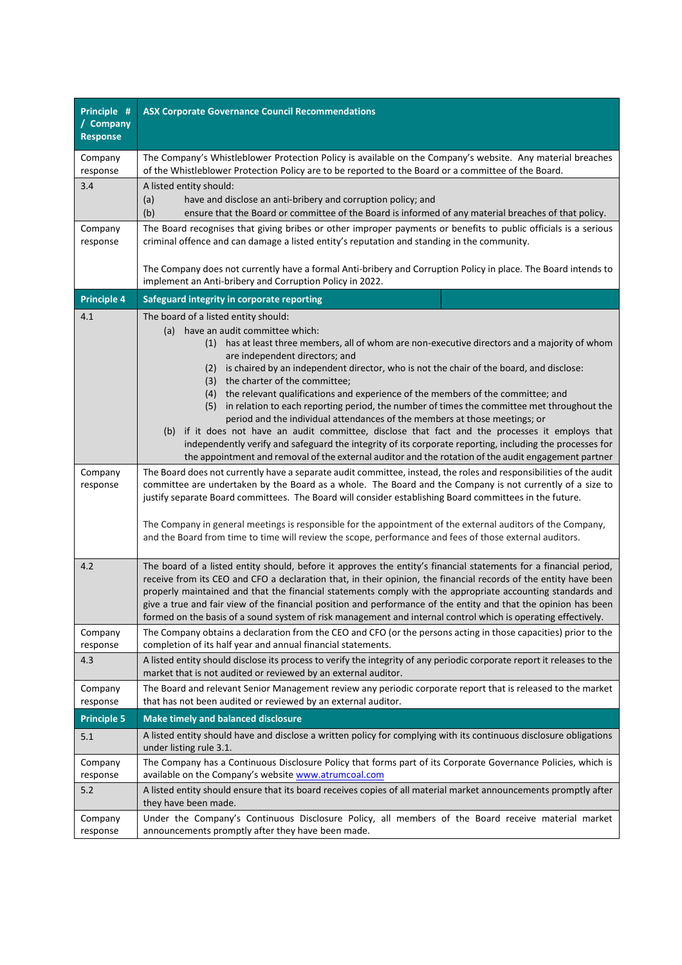| Principle #<br>/ Company<br><b>Response</b> | <b>ASX Corporate Governance Council Recommendations</b>                                                                                                                                                                       |
|---------------------------------------------|-------------------------------------------------------------------------------------------------------------------------------------------------------------------------------------------------------------------------------|
| Company                                     | The Company's Whistleblower Protection Policy is available on the Company's website. Any material breaches                                                                                                                    |
| response<br>3.4                             | of the Whistleblower Protection Policy are to be reported to the Board or a committee of the Board.<br>A listed entity should:                                                                                                |
|                                             | (a)<br>have and disclose an anti-bribery and corruption policy; and                                                                                                                                                           |
|                                             | (b)<br>ensure that the Board or committee of the Board is informed of any material breaches of that policy.                                                                                                                   |
| Company<br>response                         | The Board recognises that giving bribes or other improper payments or benefits to public officials is a serious<br>criminal offence and can damage a listed entity's reputation and standing in the community.                |
|                                             | The Company does not currently have a formal Anti-bribery and Corruption Policy in place. The Board intends to<br>implement an Anti-bribery and Corruption Policy in 2022.                                                    |
| <b>Principle 4</b>                          | Safeguard integrity in corporate reporting                                                                                                                                                                                    |
| 4.1                                         | The board of a listed entity should:                                                                                                                                                                                          |
|                                             | (a) have an audit committee which:                                                                                                                                                                                            |
|                                             | has at least three members, all of whom are non-executive directors and a majority of whom<br>(1)<br>are independent directors; and                                                                                           |
|                                             | (2) is chaired by an independent director, who is not the chair of the board, and disclose:                                                                                                                                   |
|                                             | (3) the charter of the committee;                                                                                                                                                                                             |
|                                             | (4) the relevant qualifications and experience of the members of the committee; and<br>(5)<br>in relation to each reporting period, the number of times the committee met throughout the                                      |
|                                             | period and the individual attendances of the members at those meetings; or                                                                                                                                                    |
|                                             | (b) if it does not have an audit committee, disclose that fact and the processes it employs that                                                                                                                              |
|                                             | independently verify and safeguard the integrity of its corporate reporting, including the processes for<br>the appointment and removal of the external auditor and the rotation of the audit engagement partner              |
| Company                                     | The Board does not currently have a separate audit committee, instead, the roles and responsibilities of the audit                                                                                                            |
| response                                    | committee are undertaken by the Board as a whole. The Board and the Company is not currently of a size to<br>justify separate Board committees. The Board will consider establishing Board committees in the future.          |
|                                             | The Company in general meetings is responsible for the appointment of the external auditors of the Company,<br>and the Board from time to time will review the scope, performance and fees of those external auditors.        |
| 4.2                                         | The board of a listed entity should, before it approves the entity's financial statements for a financial period,                                                                                                             |
|                                             | receive from its CEO and CFO a declaration that, in their opinion, the financial records of the entity have been                                                                                                              |
|                                             | properly maintained and that the financial statements comply with the appropriate accounting standards and<br>give a true and fair view of the financial position and performance of the entity and that the opinion has been |
|                                             | formed on the basis of a sound system of risk management and internal control which is operating effectively.                                                                                                                 |
| Company<br>response                         | The Company obtains a declaration from the CEO and CFO (or the persons acting in those capacities) prior to the<br>completion of its half year and annual financial statements.                                               |
| 4.3                                         | A listed entity should disclose its process to verify the integrity of any periodic corporate report it releases to the<br>market that is not audited or reviewed by an external auditor.                                     |
| Company<br>response                         | The Board and relevant Senior Management review any periodic corporate report that is released to the market<br>that has not been audited or reviewed by an external auditor.                                                 |
| <b>Principle 5</b>                          |                                                                                                                                                                                                                               |
|                                             | <b>Make timely and balanced disclosure</b><br>A listed entity should have and disclose a written policy for complying with its continuous disclosure obligations                                                              |
| 5.1                                         | under listing rule 3.1.                                                                                                                                                                                                       |
| Company                                     | The Company has a Continuous Disclosure Policy that forms part of its Corporate Governance Policies, which is                                                                                                                 |
| response                                    | available on the Company's website www.atrumcoal.com                                                                                                                                                                          |
| 5.2                                         | A listed entity should ensure that its board receives copies of all material market announcements promptly after<br>they have been made.                                                                                      |
| Company<br>response                         | Under the Company's Continuous Disclosure Policy, all members of the Board receive material market<br>announcements promptly after they have been made.                                                                       |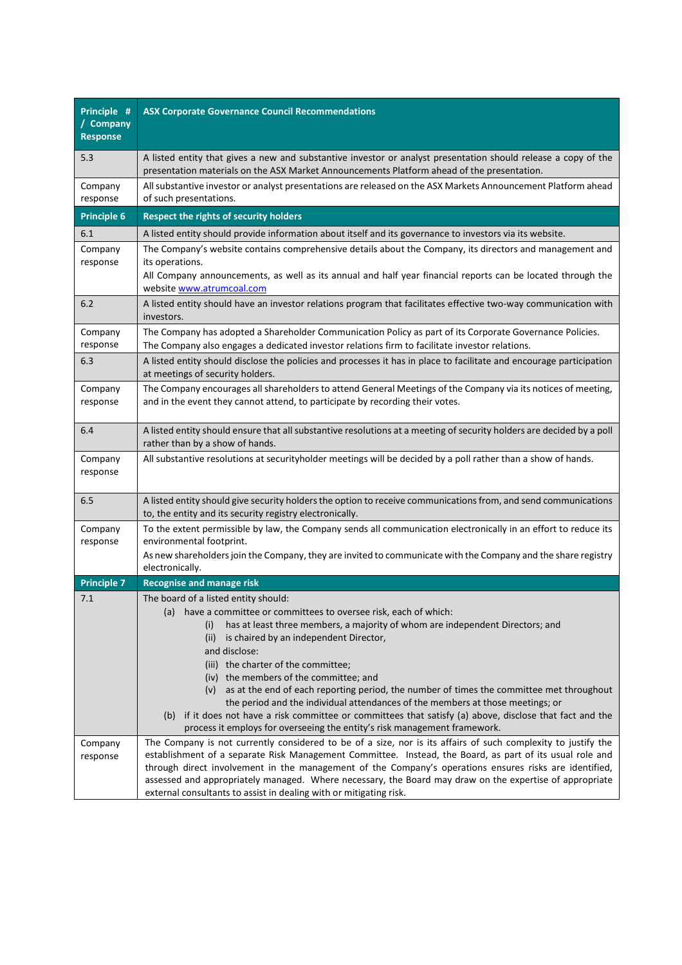| Principle #<br>/ Company<br><b>Response</b> | <b>ASX Corporate Governance Council Recommendations</b>                                                                                                                                                                                                                                                                                                                                                                                                                                                              |
|---------------------------------------------|----------------------------------------------------------------------------------------------------------------------------------------------------------------------------------------------------------------------------------------------------------------------------------------------------------------------------------------------------------------------------------------------------------------------------------------------------------------------------------------------------------------------|
| 5.3                                         | A listed entity that gives a new and substantive investor or analyst presentation should release a copy of the<br>presentation materials on the ASX Market Announcements Platform ahead of the presentation.                                                                                                                                                                                                                                                                                                         |
| Company<br>response                         | All substantive investor or analyst presentations are released on the ASX Markets Announcement Platform ahead<br>of such presentations.                                                                                                                                                                                                                                                                                                                                                                              |
| <b>Principle 6</b>                          | Respect the rights of security holders                                                                                                                                                                                                                                                                                                                                                                                                                                                                               |
| 6.1                                         | A listed entity should provide information about itself and its governance to investors via its website.                                                                                                                                                                                                                                                                                                                                                                                                             |
| Company<br>response                         | The Company's website contains comprehensive details about the Company, its directors and management and<br>its operations.<br>All Company announcements, as well as its annual and half year financial reports can be located through the<br>website www.atrumcoal.com                                                                                                                                                                                                                                              |
| 6.2                                         | A listed entity should have an investor relations program that facilitates effective two-way communication with<br>investors.                                                                                                                                                                                                                                                                                                                                                                                        |
| Company<br>response                         | The Company has adopted a Shareholder Communication Policy as part of its Corporate Governance Policies.<br>The Company also engages a dedicated investor relations firm to facilitate investor relations.                                                                                                                                                                                                                                                                                                           |
| 6.3                                         | A listed entity should disclose the policies and processes it has in place to facilitate and encourage participation<br>at meetings of security holders.                                                                                                                                                                                                                                                                                                                                                             |
| Company<br>response                         | The Company encourages all shareholders to attend General Meetings of the Company via its notices of meeting,<br>and in the event they cannot attend, to participate by recording their votes.                                                                                                                                                                                                                                                                                                                       |
| 6.4                                         | A listed entity should ensure that all substantive resolutions at a meeting of security holders are decided by a poll<br>rather than by a show of hands.                                                                                                                                                                                                                                                                                                                                                             |
| Company<br>response                         | All substantive resolutions at securityholder meetings will be decided by a poll rather than a show of hands.                                                                                                                                                                                                                                                                                                                                                                                                        |
| 6.5                                         | A listed entity should give security holders the option to receive communications from, and send communications<br>to, the entity and its security registry electronically.                                                                                                                                                                                                                                                                                                                                          |
| Company<br>response                         | To the extent permissible by law, the Company sends all communication electronically in an effort to reduce its<br>environmental footprint.<br>As new shareholders join the Company, they are invited to communicate with the Company and the share registry                                                                                                                                                                                                                                                         |
|                                             | electronically.                                                                                                                                                                                                                                                                                                                                                                                                                                                                                                      |
| <b>Principle 7</b>                          | <b>Recognise and manage risk</b>                                                                                                                                                                                                                                                                                                                                                                                                                                                                                     |
| 7.1                                         | The board of a listed entity should:<br>(a) have a committee or committees to oversee risk, each of which:<br>has at least three members, a majority of whom are independent Directors; and<br>(i)<br>(ii)<br>is chaired by an independent Director,<br>and disclose:                                                                                                                                                                                                                                                |
|                                             | (iii) the charter of the committee;<br>(iv) the members of the committee; and<br>(v) as at the end of each reporting period, the number of times the committee met throughout<br>the period and the individual attendances of the members at those meetings; or<br>(b) if it does not have a risk committee or committees that satisfy (a) above, disclose that fact and the<br>process it employs for overseeing the entity's risk management framework.                                                            |
| Company<br>response                         | The Company is not currently considered to be of a size, nor is its affairs of such complexity to justify the<br>establishment of a separate Risk Management Committee. Instead, the Board, as part of its usual role and<br>through direct involvement in the management of the Company's operations ensures risks are identified,<br>assessed and appropriately managed. Where necessary, the Board may draw on the expertise of appropriate<br>external consultants to assist in dealing with or mitigating risk. |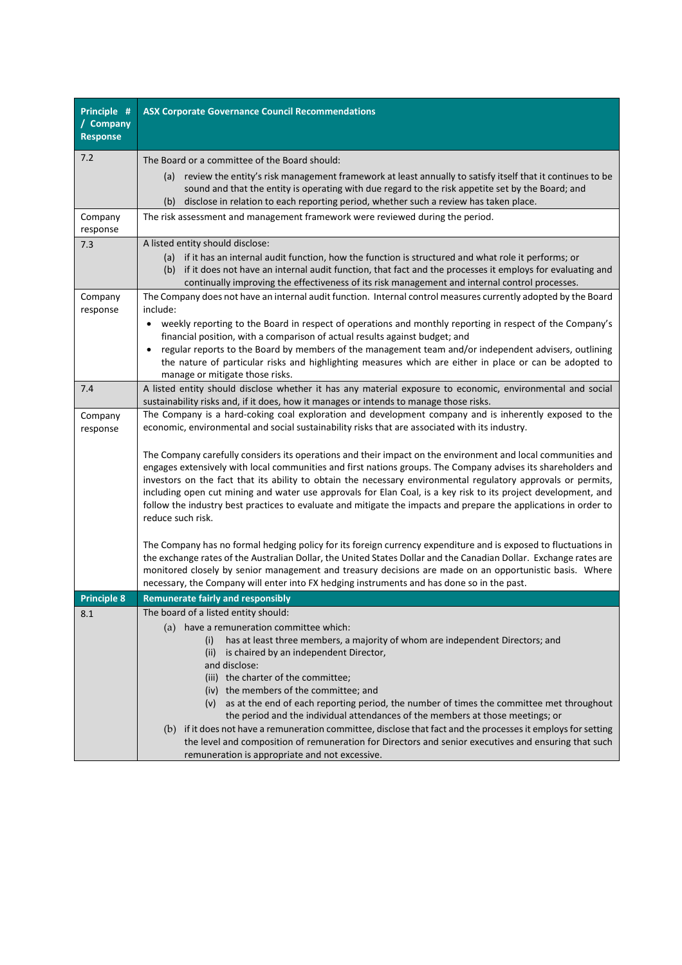| Principle #                  | <b>ASX Corporate Governance Council Recommendations</b>                                                                                                                                                                                                                                                                                                                                                                                                                                                                                                                                                   |
|------------------------------|-----------------------------------------------------------------------------------------------------------------------------------------------------------------------------------------------------------------------------------------------------------------------------------------------------------------------------------------------------------------------------------------------------------------------------------------------------------------------------------------------------------------------------------------------------------------------------------------------------------|
| / Company<br><b>Response</b> |                                                                                                                                                                                                                                                                                                                                                                                                                                                                                                                                                                                                           |
| 7.2                          | The Board or a committee of the Board should:                                                                                                                                                                                                                                                                                                                                                                                                                                                                                                                                                             |
|                              | (a) review the entity's risk management framework at least annually to satisfy itself that it continues to be<br>sound and that the entity is operating with due regard to the risk appetite set by the Board; and<br>(b) disclose in relation to each reporting period, whether such a review has taken place.                                                                                                                                                                                                                                                                                           |
| Company<br>response          | The risk assessment and management framework were reviewed during the period.                                                                                                                                                                                                                                                                                                                                                                                                                                                                                                                             |
| 7.3                          | A listed entity should disclose:                                                                                                                                                                                                                                                                                                                                                                                                                                                                                                                                                                          |
|                              | (a) if it has an internal audit function, how the function is structured and what role it performs; or<br>(b) if it does not have an internal audit function, that fact and the processes it employs for evaluating and<br>continually improving the effectiveness of its risk management and internal control processes.                                                                                                                                                                                                                                                                                 |
| Company                      | The Company does not have an internal audit function. Internal control measures currently adopted by the Board                                                                                                                                                                                                                                                                                                                                                                                                                                                                                            |
| response                     | include:<br>weekly reporting to the Board in respect of operations and monthly reporting in respect of the Company's<br>٠<br>financial position, with a comparison of actual results against budget; and                                                                                                                                                                                                                                                                                                                                                                                                  |
|                              | regular reports to the Board by members of the management team and/or independent advisers, outlining<br>$\bullet$<br>the nature of particular risks and highlighting measures which are either in place or can be adopted to<br>manage or mitigate those risks.                                                                                                                                                                                                                                                                                                                                          |
| 7.4                          | A listed entity should disclose whether it has any material exposure to economic, environmental and social<br>sustainability risks and, if it does, how it manages or intends to manage those risks.                                                                                                                                                                                                                                                                                                                                                                                                      |
| Company<br>response          | The Company is a hard-coking coal exploration and development company and is inherently exposed to the<br>economic, environmental and social sustainability risks that are associated with its industry.                                                                                                                                                                                                                                                                                                                                                                                                  |
|                              | The Company carefully considers its operations and their impact on the environment and local communities and<br>engages extensively with local communities and first nations groups. The Company advises its shareholders and<br>investors on the fact that its ability to obtain the necessary environmental regulatory approvals or permits,<br>including open cut mining and water use approvals for Elan Coal, is a key risk to its project development, and<br>follow the industry best practices to evaluate and mitigate the impacts and prepare the applications in order to<br>reduce such risk. |
|                              | The Company has no formal hedging policy for its foreign currency expenditure and is exposed to fluctuations in<br>the exchange rates of the Australian Dollar, the United States Dollar and the Canadian Dollar. Exchange rates are<br>monitored closely by senior management and treasury decisions are made on an opportunistic basis. Where<br>necessary, the Company will enter into FX hedging instruments and has done so in the past.                                                                                                                                                             |
| <b>Principle 8</b>           | <b>Remunerate fairly and responsibly</b>                                                                                                                                                                                                                                                                                                                                                                                                                                                                                                                                                                  |
| 8.1                          | The board of a listed entity should:<br>(a) have a remuneration committee which:<br>has at least three members, a majority of whom are independent Directors; and<br>(i)<br>is chaired by an independent Director,<br>(ii)<br>and disclose:                                                                                                                                                                                                                                                                                                                                                               |
|                              | (iii) the charter of the committee;<br>(iv) the members of the committee; and<br>(v) as at the end of each reporting period, the number of times the committee met throughout<br>the period and the individual attendances of the members at those meetings; or<br>(b) if it does not have a remuneration committee, disclose that fact and the processes it employs for setting<br>the level and composition of remuneration for Directors and senior executives and ensuring that such                                                                                                                  |
|                              | remuneration is appropriate and not excessive.                                                                                                                                                                                                                                                                                                                                                                                                                                                                                                                                                            |